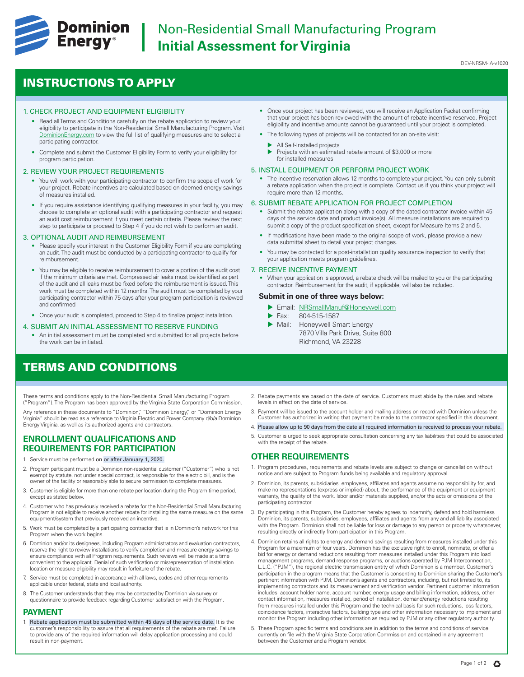

# **Dominion** | Non-Residential Small Manufacturing Program<br>**Energy**<sup>®</sup> | Initial Assessment for Virginia **Initial Assessment for Virginia**

### DEV-NRSM-IA-v1020

## INSTRUCTIONS TO APPLY

## 1. CHECK PROJECT AND EQUIPMENT ELIGIBILITY

- Read all Terms and Conditions carefully on the rebate application to review your eligibility to participate in the Non-Residential Small Manufacturing Program. Visit [DominionEnergy.com](https://www.dominionenergy.com) to view the full list of qualifying measures and to select a participating contractor.
- Complete and submit the Customer Eligibility Form to verify your eligibility for program participation.

## 2. REVIEW YOUR PROJECT REQUIREMENTS

- You will work with your participating contractor to confirm the scope of work for your project. Rebate incentives are calculated based on deemed energy savings of measures installed.
- If you require assistance identifying qualifying measures in your facility, you may choose to complete an optional audit with a participating contractor and request an audit cost reimbursement if you meet certain criteria. Please review the next step to participate or proceed to Step 4 if you do not wish to perform an audit.

### 3. OPTIONAL AUDIT AND REIMBURSEMENT

- Please specify your interest in the Customer Eligibility Form if you are completing an audit. The audit must be conducted by a participating contractor to qualify for reimbursement.
- You may be eligible to receive reimbursement to cover a portion of the audit cost if the minimum criteria are met. Compressed air leaks must be identified as part of the audit and all leaks must be fixed before the reimbursement is issued. This work must be completed within 12 months. The audit must be completed by your participating contractor within 75 days after your program participation is reviewed and confirmed
- Once your audit is completed, proceed to Step 4 to finalize project installation.

### 4. SUBMIT AN INITIAL ASSESSMENT TO RESERVE FUNDING

• An initial assessment must be completed and submitted for all projects before the work can be initiated.

## TERMS AND CONDITIONS

These terms and conditions apply to the Non-Residential Small Manufacturing Program ("Program"). The Program has been approved by the Virginia State Corporation Commission.

Any reference in these documents to "Dominion," "Dominion Energy," or "Dominion Energy Virginia" should be read as a reference to Virginia Electric and Power Company d/b/a Dominion Energy Virginia, as well as its authorized agents and contractors.

## **ENROLLMENT QUALIFICATIONS AND REQUIREMENTS FOR PARTICIPATION**

- Service must be performed on or after January 1, 2020.
- 2. Program participant must be a Dominion non-residential customer ("Customer") who is not exempt by statute, not under special contract, is responsible for the electric bill, and is the owner of the facility or reasonably able to secure permission to complete measures.
- 3. Customer is eligible for more than one rebate per location during the Program time period, except as stated below.
- 4. Customer who has previously received a rebate for the Non-Residential Small Manufacturing Program is not eligible to receive another rebate for installing the same measure on the same equipment/system that previously received an incentive.
- 5. Work must be completed by a participating contractor that is in Dominion's network for this Program when the work begins.
- 6. Dominion and/or its designees, including Program administrators and evaluation contractors, reserve the right to review installations to verify completion and measure energy savings to ensure compliance with all Program requirements. Such reviews will be made at a time convenient to the applicant. Denial of such verification or misrepresentation of installation location or measure eligibility may result in forfeiture of the rebate.
- 7. Service must be completed in accordance with all laws, codes and other requirements applicable under federal, state and local authority.
- 8. The Customer understands that they may be contacted by Dominion via survey or questionnaire to provide feedback regarding Customer satisfaction with the Program.

## **PAYMENT**

1. Rebate application must be submitted within 45 days of the service date. It is the customer's responsibility to assure that all requirements of the rebate are met. Failure to provide any of the required information will delay application processing and could result in non-payment.

- Once your project has been reviewed, you will receive an Application Packet confirming that your project has been reviewed with the amount of rebate incentive reserved. Project eligibility and incentive amounts cannot be guaranteed until your project is completed.
- The following types of projects will be contacted for an on-site visit:
	- All Self-Installed projects
	- Projects with an estimated rebate amount of \$3,000 or more for installed measures

## 5. INSTALL EQUIPMENT OR PERFORM PROJECT WORK

• The incentive reservation allows 12 months to complete your project. You can only submit a rebate application when the project is complete. Contact us if you think your project will require more than 12 months.

## 6. SUBMIT REBATE APPLICATION FOR PROJECT COMPLETION

- Submit the rebate application along with a copy of the dated contractor invoice within 45 days of the service date and product invoice(s). All measure installations are required to submit a copy of the product specification sheet, except for Measure Items 2 and 5.
- If modifications have been made to the original scope of work, please provide a new data submittal sheet to detail your project changes.
- You may be contacted for a post-installation quality assurance inspection to verify that your application meets program guidelines.

#### 7. RECEIVE INCENTIVE PAYMENT

• When your application is approved, a rebate check will be mailed to you or the participating contractor. Reimbursement for the audit, if applicable, will also be included.

## **Submit in one of three ways below:**

- ▶ Email: NRSmallManuf@Honeywell.com
- Fax: 804-515-1587
- Mail: Honeywell Smart Energy 7870 Villa Park Drive, Suite 800 Richmond, VA 23228
- 2. Rebate payments are based on the date of service. Customers must abide by the rules and rebate levels in effect on the date of service.
- 3. Payment will be issued to the account holder and mailing address on record with Dominion unless the Customer has authorized in writing that payment be made to the contractor specified in this document.
- 4. Please allow up to 90 days from the date all required information is received to process your rebate.
- 5. Customer is urged to seek appropriate consultation concerning any tax liabilities that could be associated with the receipt of the rebate

## **OTHER REQUIREMENTS**

- 1. Program procedures, requirements and rebate levels are subject to change or cancellation without notice and are subject to Program funds being available and regulatory approval.
- 2. Dominion, its parents, subsidiaries, employees, affiliates and agents assume no responsibility for, and make no representations (express or implied) about, the performance of the equipment or equipment warranty, the quality of the work, labor and/or materials supplied, and/or the acts or omissions of the participating contractor.
- 3. By participating in this Program, the Customer hereby agrees to indemnify, defend and hold harmless Dominion, its parents, subsidiaries, employees, affiliates and agents from any and all liability associated with the Program. Dominion shall not be liable for loss or damage to any person or property whatsoever, resulting directly or indirectly from participation in this Program.
- 4. Dominion retains all rights to energy and demand savings resulting from measures installed under this Program for a maximum of four years. Dominion has the exclusive right to enroll, nominate, or offer a bid for energy or demand reductions resulting from measures installed under this Program into load management programs, demand response programs, or auctions operated by PJM Interconnection, L.L.C. ("PJM"), the regional electric transmission entity of which Dominion is a member. Customer's participation in the program means that the Customer is consenting to Dominion sharing the Customer's pertinent information with PJM, Dominion's agents and contractors, including, but not limited to, its implementing contractors and its measurement and verification vendor. Pertinent customer information includes account holder name, account number, energy usage and billing information, address, other contact information, measures installed, period of installation, demand/energy reductions resulting from measures installed under this Program and the technical basis for such reductions, loss factors, coincidence factors, interactive factors, building type and other information necessary to implement and monitor the Program including other information as required by PJM or any other regulatory authority.
- 5. These Program specific terms and conditions are in addition to the terms and conditions of service currently on file with the Virginia State Corporation Commission and contained in any agreement between the Customer and a Program vendor.